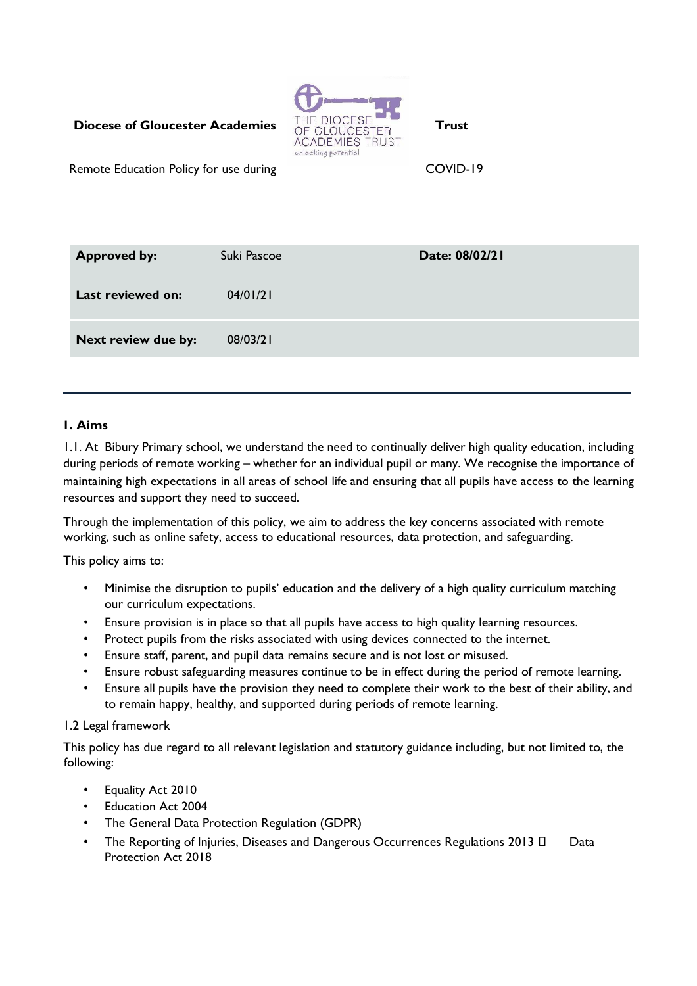# **Diocese of Gloucester Academies** THE DIOCESE **Trust Trust**



Remote Education Policy for use during Theorem COVID-19

| <b>Approved by:</b>      | Suki Pascoe | Date: 08/02/21 |
|--------------------------|-------------|----------------|
| <b>Last reviewed on:</b> | 04/01/21    |                |
| Next review due by:      | 08/03/21    |                |

### **1. Aims**

1.1. At Bibury Primary school, we understand the need to continually deliver high quality education, including during periods of remote working – whether for an individual pupil or many. We recognise the importance of maintaining high expectations in all areas of school life and ensuring that all pupils have access to the learning resources and support they need to succeed.

Through the implementation of this policy, we aim to address the key concerns associated with remote working, such as online safety, access to educational resources, data protection, and safeguarding.

This policy aims to:

- Minimise the disruption to pupils' education and the delivery of a high quality curriculum matching our curriculum expectations.
- Ensure provision is in place so that all pupils have access to high quality learning resources.
- Protect pupils from the risks associated with using devices connected to the internet.
- Ensure staff, parent, and pupil data remains secure and is not lost or misused.
- Ensure robust safeguarding measures continue to be in effect during the period of remote learning.
- Ensure all pupils have the provision they need to complete their work to the best of their ability, and to remain happy, healthy, and supported during periods of remote learning.

#### 1.2 Legal framework

This policy has due regard to all relevant legislation and statutory guidance including, but not limited to, the following:

- Equality Act 2010
- Education Act 2004
- The General Data Protection Regulation (GDPR)
- The Reporting of Injuries, Diseases and Dangerous Occurrences Regulations 2013  $\Box$  Data Protection Act 2018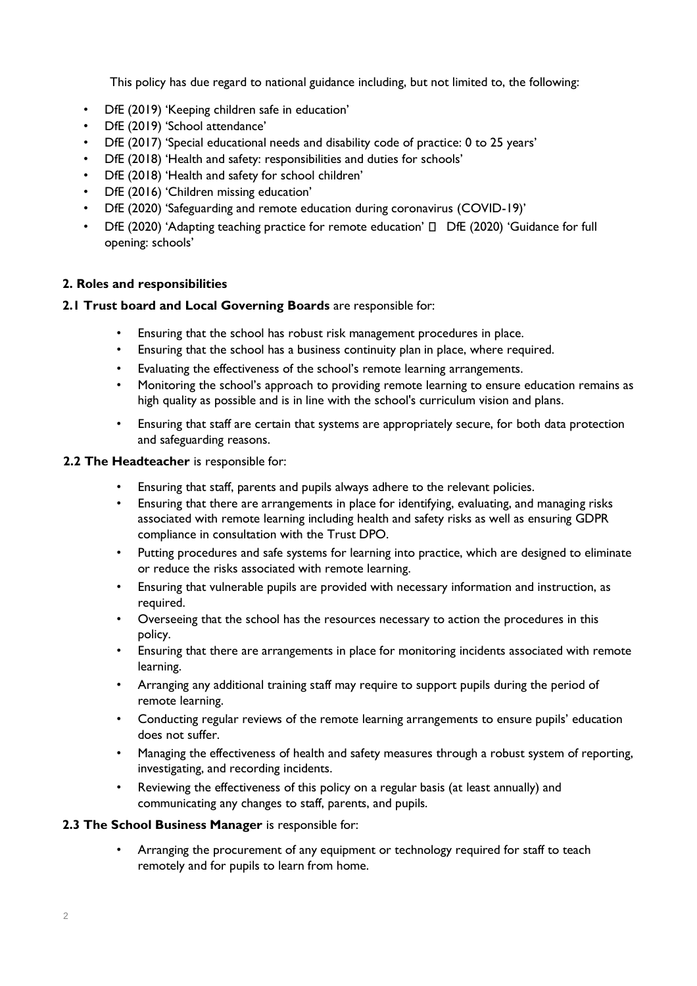This policy has due regard to national guidance including, but not limited to, the following:

- DfE (2019) 'Keeping children safe in education'
- DfE (2019) 'School attendance'
- DfE (2017) 'Special educational needs and disability code of practice: 0 to 25 years'
- DfE (2018) 'Health and safety: responsibilities and duties for schools'
- DfE (2018) 'Health and safety for school children'
- DfE (2016) 'Children missing education'
- DfE (2020) 'Safeguarding and remote education during coronavirus (COVID-19)'
- DfE (2020) 'Adapting teaching practice for remote education'  $\Box$  DfE (2020) 'Guidance for full opening: schools'

## **2. Roles and responsibilities**

### **2.1 Trust board and Local Governing Boards** are responsible for:

- Ensuring that the school has robust risk management procedures in place.
- Ensuring that the school has a business continuity plan in place, where required.
- Evaluating the effectiveness of the school's remote learning arrangements.
- Monitoring the school's approach to providing remote learning to ensure education remains as high quality as possible and is in line with the school's curriculum vision and plans.
- Ensuring that staff are certain that systems are appropriately secure, for both data protection and safeguarding reasons.

#### **2.2 The Headteacher** is responsible for:

- Ensuring that staff, parents and pupils always adhere to the relevant policies.
- Ensuring that there are arrangements in place for identifying, evaluating, and managing risks associated with remote learning including health and safety risks as well as ensuring GDPR compliance in consultation with the Trust DPO.
- Putting procedures and safe systems for learning into practice, which are designed to eliminate or reduce the risks associated with remote learning.
- Ensuring that vulnerable pupils are provided with necessary information and instruction, as required.
- Overseeing that the school has the resources necessary to action the procedures in this policy.
- Ensuring that there are arrangements in place for monitoring incidents associated with remote learning.
- Arranging any additional training staff may require to support pupils during the period of remote learning.
- Conducting regular reviews of the remote learning arrangements to ensure pupils' education does not suffer.
- Managing the effectiveness of health and safety measures through a robust system of reporting, investigating, and recording incidents.
- Reviewing the effectiveness of this policy on a regular basis (at least annually) and communicating any changes to staff, parents, and pupils.

#### **2.3 The School Business Manager** is responsible for:

• Arranging the procurement of any equipment or technology required for staff to teach remotely and for pupils to learn from home.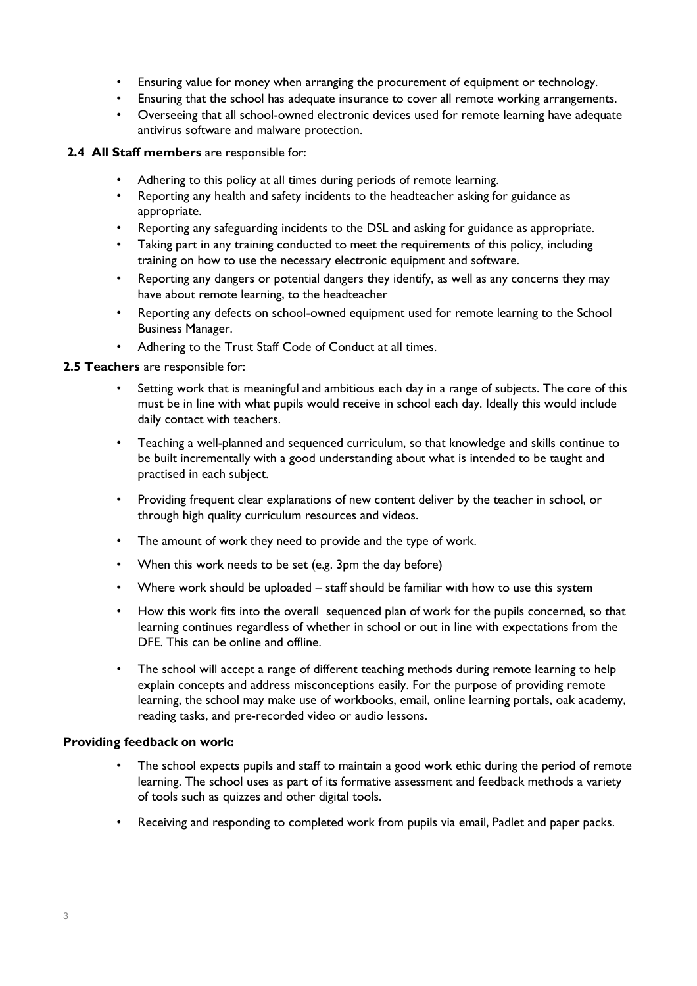- Ensuring value for money when arranging the procurement of equipment or technology.
- Ensuring that the school has adequate insurance to cover all remote working arrangements.
- Overseeing that all school-owned electronic devices used for remote learning have adequate antivirus software and malware protection.

### **2.4 All Staff members** are responsible for:

- Adhering to this policy at all times during periods of remote learning.
- Reporting any health and safety incidents to the headteacher asking for guidance as appropriate.
- Reporting any safeguarding incidents to the DSL and asking for guidance as appropriate.
- Taking part in any training conducted to meet the requirements of this policy, including training on how to use the necessary electronic equipment and software.
- Reporting any dangers or potential dangers they identify, as well as any concerns they may have about remote learning, to the headteacher
- Reporting any defects on school-owned equipment used for remote learning to the School Business Manager.
- Adhering to the Trust Staff Code of Conduct at all times.

#### **2.5 Teachers** are responsible for:

- Setting work that is meaningful and ambitious each day in a range of subjects. The core of this must be in line with what pupils would receive in school each day. Ideally this would include daily contact with teachers.
- Teaching a well-planned and sequenced curriculum, so that knowledge and skills continue to be built incrementally with a good understanding about what is intended to be taught and practised in each subject.
- Providing frequent clear explanations of new content deliver by the teacher in school, or through high quality curriculum resources and videos.
- The amount of work they need to provide and the type of work.
- When this work needs to be set (e.g. 3pm the day before)
- Where work should be uploaded staff should be familiar with how to use this system
- How this work fits into the overall sequenced plan of work for the pupils concerned, so that learning continues regardless of whether in school or out in line with expectations from the DFE. This can be online and offline.
- The school will accept a range of different teaching methods during remote learning to help explain concepts and address misconceptions easily. For the purpose of providing remote learning, the school may make use of workbooks, email, online learning portals, oak academy, reading tasks, and pre-recorded video or audio lessons.

#### **Providing feedback on work:**

- The school expects pupils and staff to maintain a good work ethic during the period of remote learning. The school uses as part of its formative assessment and feedback methods a variety of tools such as quizzes and other digital tools.
- Receiving and responding to completed work from pupils via email, Padlet and paper packs.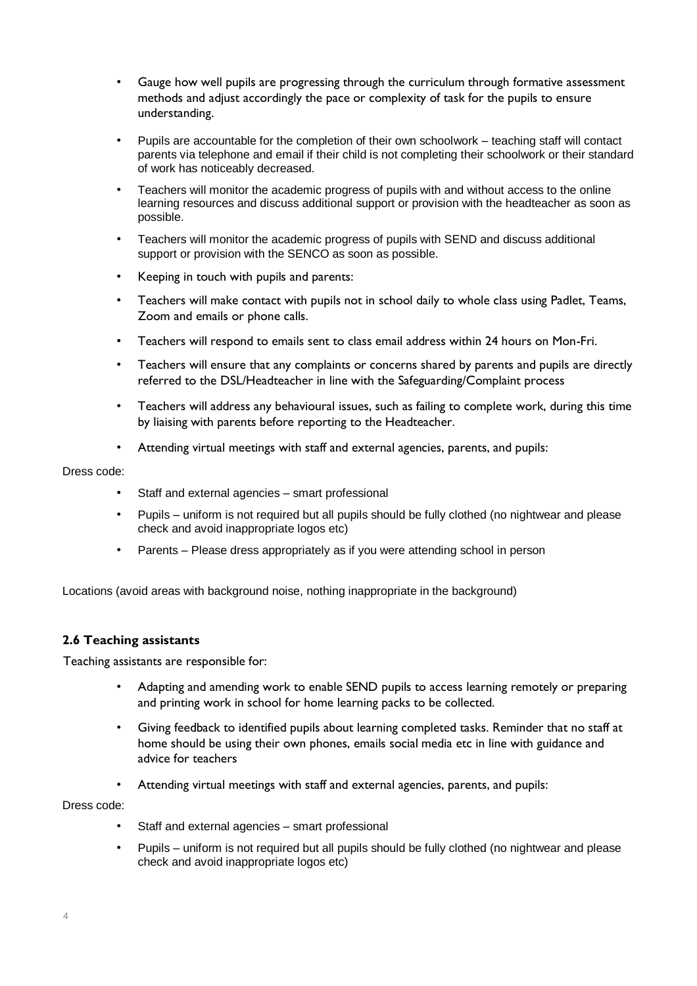- Gauge how well pupils are progressing through the curriculum through formative assessment methods and adjust accordingly the pace or complexity of task for the pupils to ensure understanding.
- Pupils are accountable for the completion of their own schoolwork teaching staff will contact parents via telephone and email if their child is not completing their schoolwork or their standard of work has noticeably decreased.
- Teachers will monitor the academic progress of pupils with and without access to the online learning resources and discuss additional support or provision with the headteacher as soon as possible.
- Teachers will monitor the academic progress of pupils with SEND and discuss additional support or provision with the SENCO as soon as possible.
- Keeping in touch with pupils and parents:
- Teachers will make contact with pupils not in school daily to whole class using Padlet, Teams, Zoom and emails or phone calls.
- Teachers will respond to emails sent to class email address within 24 hours on Mon-Fri.
- Teachers will ensure that any complaints or concerns shared by parents and pupils are directly referred to the DSL/Headteacher in line with the Safeguarding/Complaint process
- Teachers will address any behavioural issues, such as failing to complete work, during this time by liaising with parents before reporting to the Headteacher.
- Attending virtual meetings with staff and external agencies, parents, and pupils:

#### Dress code:

- Staff and external agencies smart professional
- Pupils uniform is not required but all pupils should be fully clothed (no nightwear and please check and avoid inappropriate logos etc)
- Parents Please dress appropriately as if you were attending school in person

Locations (avoid areas with background noise, nothing inappropriate in the background)

#### **2.6 Teaching assistants**

Teaching assistants are responsible for:

- Adapting and amending work to enable SEND pupils to access learning remotely or preparing and printing work in school for home learning packs to be collected.
- Giving feedback to identified pupils about learning completed tasks. Reminder that no staff at home should be using their own phones, emails social media etc in line with guidance and advice for teachers
- Attending virtual meetings with staff and external agencies, parents, and pupils:

Dress code:

- Staff and external agencies smart professional
- Pupils uniform is not required but all pupils should be fully clothed (no nightwear and please check and avoid inappropriate logos etc)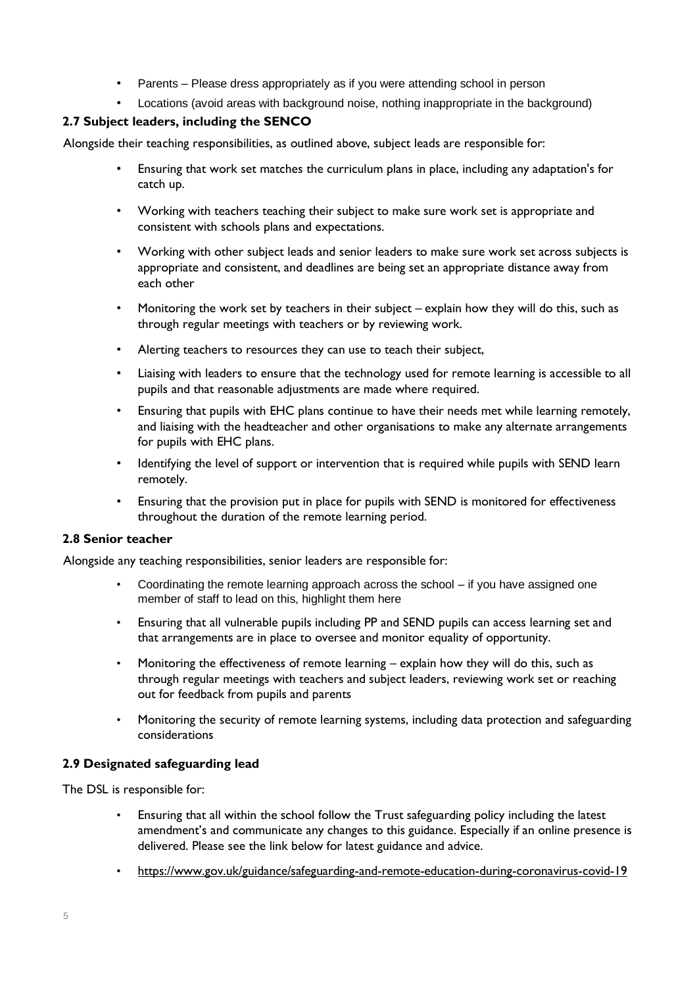- Parents Please dress appropriately as if you were attending school in person
- Locations (avoid areas with background noise, nothing inappropriate in the background)

## **2.7 Subject leaders, including the SENCO**

Alongside their teaching responsibilities, as outlined above, subject leads are responsible for:

- Ensuring that work set matches the curriculum plans in place, including any adaptation's for catch up.
- Working with teachers teaching their subject to make sure work set is appropriate and consistent with schools plans and expectations.
- Working with other subject leads and senior leaders to make sure work set across subjects is appropriate and consistent, and deadlines are being set an appropriate distance away from each other
- Monitoring the work set by teachers in their subject explain how they will do this, such as through regular meetings with teachers or by reviewing work.
- Alerting teachers to resources they can use to teach their subject,
- Liaising with leaders to ensure that the technology used for remote learning is accessible to all pupils and that reasonable adjustments are made where required.
- Ensuring that pupils with EHC plans continue to have their needs met while learning remotely, and liaising with the headteacher and other organisations to make any alternate arrangements for pupils with EHC plans.
- Identifying the level of support or intervention that is required while pupils with SEND learn remotely.
- Ensuring that the provision put in place for pupils with SEND is monitored for effectiveness throughout the duration of the remote learning period.

#### **2.8 Senior teacher**

Alongside any teaching responsibilities, senior leaders are responsible for:

- Coordinating the remote learning approach across the school if you have assigned one member of staff to lead on this, highlight them here
- Ensuring that all vulnerable pupils including PP and SEND pupils can access learning set and that arrangements are in place to oversee and monitor equality of opportunity.
- Monitoring the effectiveness of remote learning explain how they will do this, such as through regular meetings with teachers and subject leaders, reviewing work set or reaching out for feedback from pupils and parents
- Monitoring the security of remote learning systems, including data protection and safeguarding considerations

## **2.9 Designated safeguarding lead**

The DSL is responsible for:

- Ensuring that all within the school follow the Trust safeguarding policy including the latest amendment's and communicate any changes to this guidance. Especially if an online presence is delivered. Please see the link below for latest guidance and advice.
- <https://www.gov.uk/guidance/safeguarding-and-remote-education-during-coronavirus-covid-19>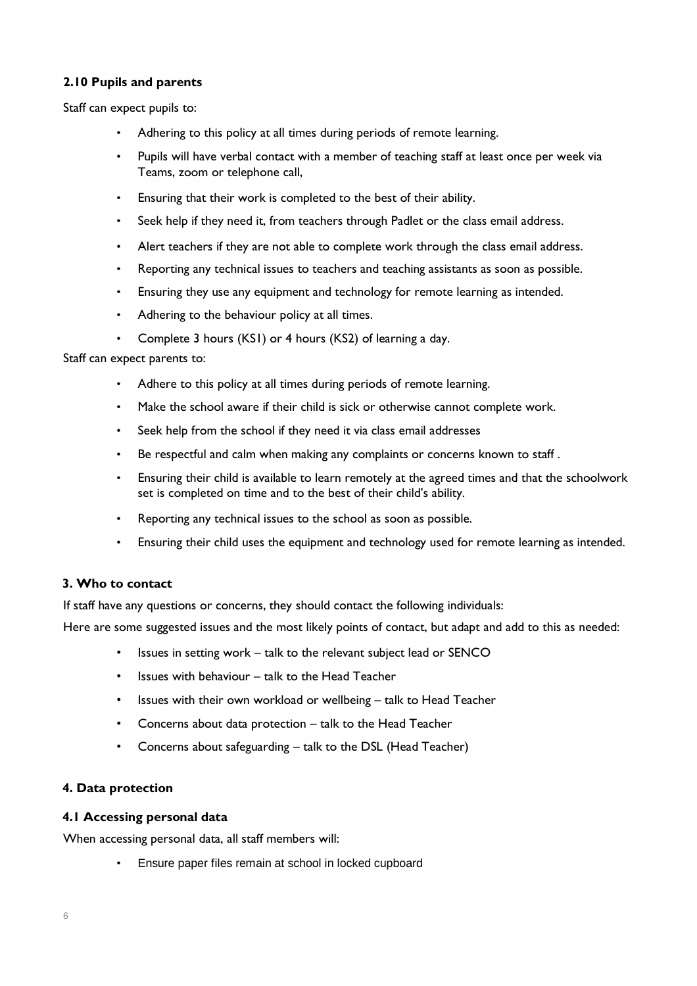## **2.10 Pupils and parents**

Staff can expect pupils to:

- Adhering to this policy at all times during periods of remote learning.
- Pupils will have verbal contact with a member of teaching staff at least once per week via Teams, zoom or telephone call,
- Ensuring that their work is completed to the best of their ability.
- Seek help if they need it, from teachers through Padlet or the class email address.
- Alert teachers if they are not able to complete work through the class email address.
- Reporting any technical issues to teachers and teaching assistants as soon as possible.
- Ensuring they use any equipment and technology for remote learning as intended.
- Adhering to the behaviour policy at all times.
- Complete 3 hours (KS1) or 4 hours (KS2) of learning a day.

Staff can expect parents to:

- Adhere to this policy at all times during periods of remote learning.
- Make the school aware if their child is sick or otherwise cannot complete work.
- Seek help from the school if they need it via class email addresses
- Be respectful and calm when making any complaints or concerns known to staff.
- Ensuring their child is available to learn remotely at the agreed times and that the schoolwork set is completed on time and to the best of their child's ability.
- Reporting any technical issues to the school as soon as possible.
- Ensuring their child uses the equipment and technology used for remote learning as intended.

#### **3. Who to contact**

If staff have any questions or concerns, they should contact the following individuals:

Here are some suggested issues and the most likely points of contact, but adapt and add to this as needed:

- Issues in setting work talk to the relevant subject lead or SENCO
- Issues with behaviour talk to the Head Teacher
- Issues with their own workload or wellbeing talk to Head Teacher
- Concerns about data protection talk to the Head Teacher
- Concerns about safeguarding talk to the DSL (Head Teacher)

#### **4. Data protection**

#### **4.1 Accessing personal data**

When accessing personal data, all staff members will:

• Ensure paper files remain at school in locked cupboard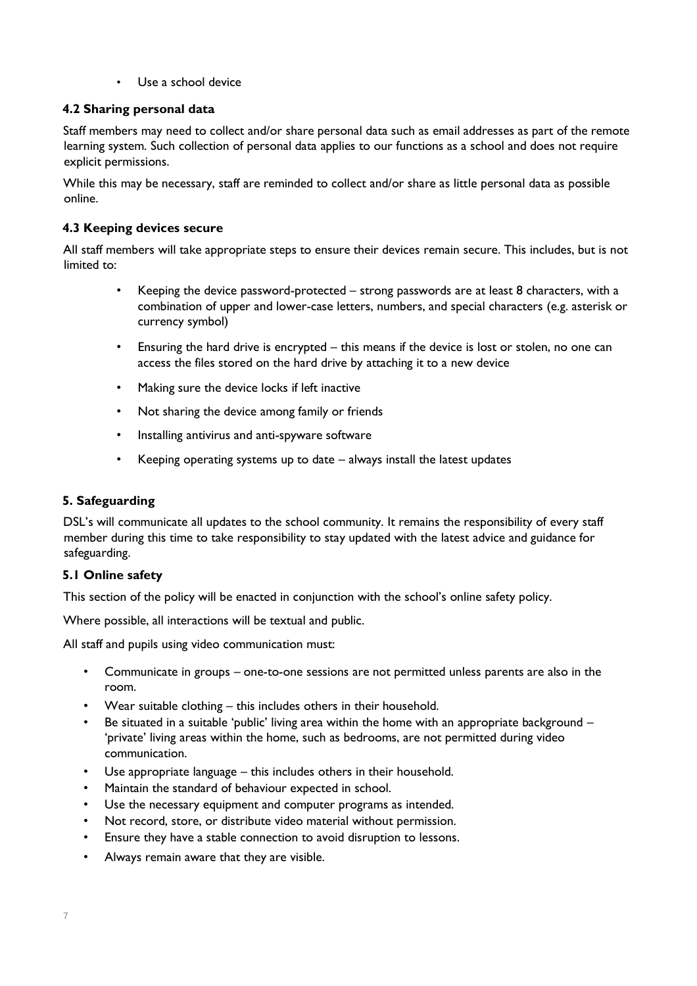• Use a school device

### **4.2 Sharing personal data**

Staff members may need to collect and/or share personal data such as email addresses as part of the remote learning system. Such collection of personal data applies to our functions as a school and does not require explicit permissions.

While this may be necessary, staff are reminded to collect and/or share as little personal data as possible online.

# **4.3 Keeping devices secure**

All staff members will take appropriate steps to ensure their devices remain secure. This includes, but is not limited to:

- Keeping the device password-protected strong passwords are at least 8 characters, with a combination of upper and lower-case letters, numbers, and special characters (e.g. asterisk or currency symbol)
- Ensuring the hard drive is encrypted this means if the device is lost or stolen, no one can access the files stored on the hard drive by attaching it to a new device
- Making sure the device locks if left inactive
- Not sharing the device among family or friends
- Installing antivirus and anti-spyware software
- Keeping operating systems up to date  $-$  always install the latest updates

## **5. Safeguarding**

DSL's will communicate all updates to the school community. It remains the responsibility of every staff member during this time to take responsibility to stay updated with the latest advice and guidance for safeguarding.

#### **5.1 Online safety**

This section of the policy will be enacted in conjunction with the school's online safety policy.

Where possible, all interactions will be textual and public.

All staff and pupils using video communication must:

- Communicate in groups one-to-one sessions are not permitted unless parents are also in the room.
- Wear suitable clothing this includes others in their household.
- Be situated in a suitable 'public' living area within the home with an appropriate background  $-$ 'private' living areas within the home, such as bedrooms, are not permitted during video communication.
- Use appropriate language this includes others in their household.
- Maintain the standard of behaviour expected in school.
- Use the necessary equipment and computer programs as intended.
- Not record, store, or distribute video material without permission.
- Ensure they have a stable connection to avoid disruption to lessons.
- Always remain aware that they are visible.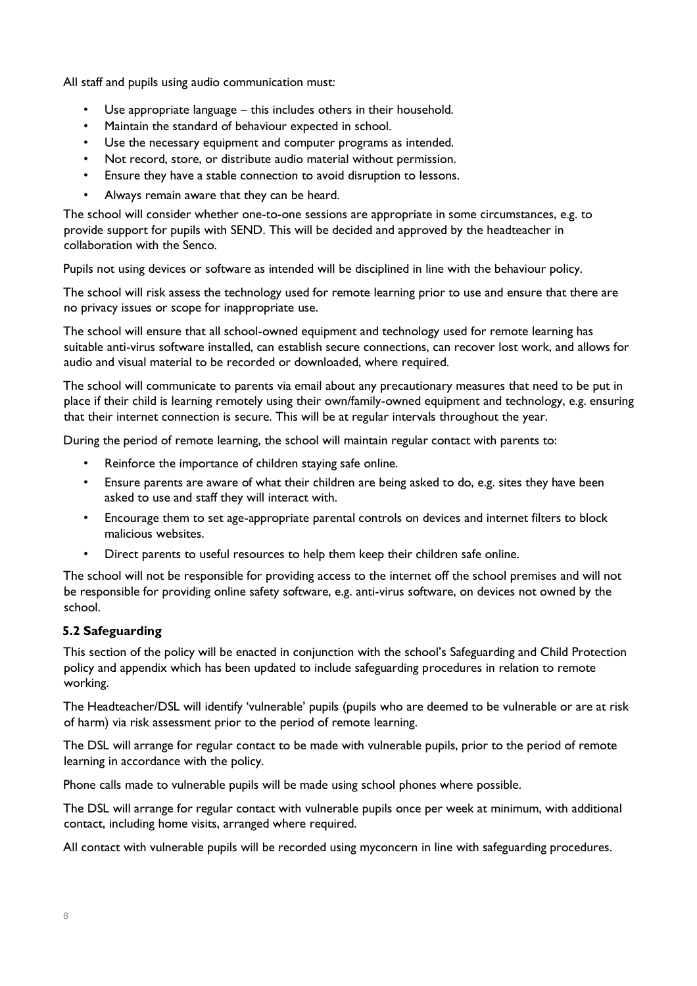All staff and pupils using audio communication must:

- Use appropriate language this includes others in their household.
- Maintain the standard of behaviour expected in school.
- Use the necessary equipment and computer programs as intended.
- Not record, store, or distribute audio material without permission.
- Ensure they have a stable connection to avoid disruption to lessons.
- Always remain aware that they can be heard.

The school will consider whether one-to-one sessions are appropriate in some circumstances, e.g. to provide support for pupils with SEND. This will be decided and approved by the headteacher in collaboration with the Senco.

Pupils not using devices or software as intended will be disciplined in line with the behaviour policy.

The school will risk assess the technology used for remote learning prior to use and ensure that there are no privacy issues or scope for inappropriate use.

The school will ensure that all school-owned equipment and technology used for remote learning has suitable anti-virus software installed, can establish secure connections, can recover lost work, and allows for audio and visual material to be recorded or downloaded, where required.

The school will communicate to parents via email about any precautionary measures that need to be put in place if their child is learning remotely using their own/family-owned equipment and technology, e.g. ensuring that their internet connection is secure. This will be at regular intervals throughout the year.

During the period of remote learning, the school will maintain regular contact with parents to:

- Reinforce the importance of children staying safe online.
- Ensure parents are aware of what their children are being asked to do, e.g. sites they have been asked to use and staff they will interact with.
- Encourage them to set age-appropriate parental controls on devices and internet filters to block malicious websites.
- Direct parents to useful resources to help them keep their children safe online.

The school will not be responsible for providing access to the internet off the school premises and will not be responsible for providing online safety software, e.g. anti-virus software, on devices not owned by the school.

## **5.2 Safeguarding**

This section of the policy will be enacted in conjunction with the school's Safeguarding and Child Protection policy and appendix which has been updated to include safeguarding procedures in relation to remote working.

The Headteacher/DSL will identify 'vulnerable' pupils (pupils who are deemed to be vulnerable or are at risk of harm) via risk assessment prior to the period of remote learning.

The DSL will arrange for regular contact to be made with vulnerable pupils, prior to the period of remote learning in accordance with the policy.

Phone calls made to vulnerable pupils will be made using school phones where possible.

The DSL will arrange for regular contact with vulnerable pupils once per week at minimum, with additional contact, including home visits, arranged where required.

All contact with vulnerable pupils will be recorded using myconcern in line with safeguarding procedures.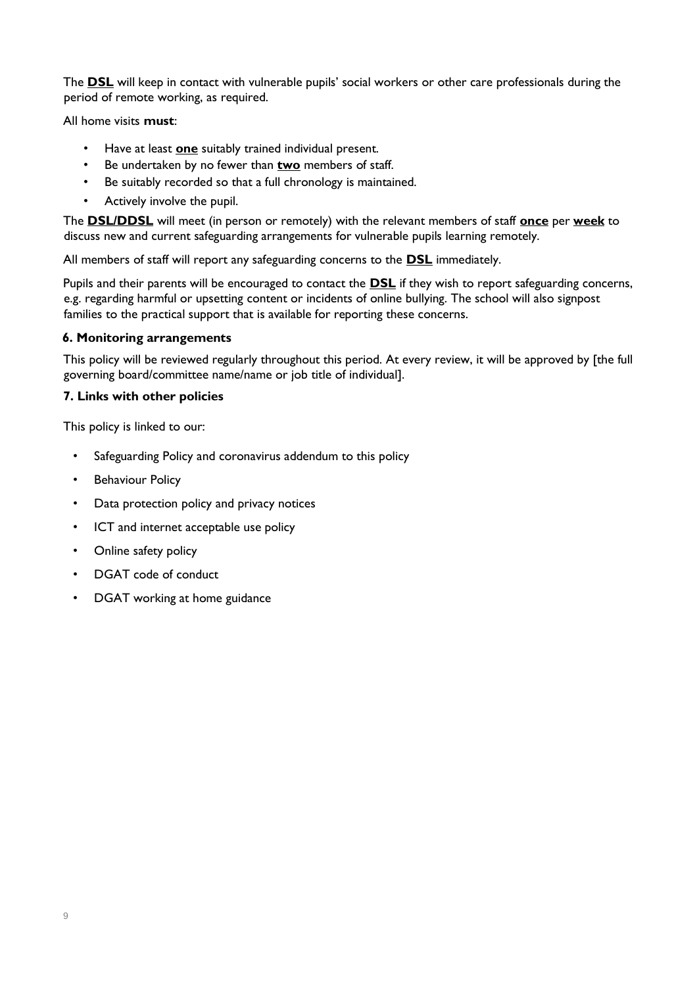The **DSL** will keep in contact with vulnerable pupils' social workers or other care professionals during the period of remote working, as required.

All home visits **must**:

- Have at least **one** suitably trained individual present.
- Be undertaken by no fewer than **two** members of staff.
- Be suitably recorded so that a full chronology is maintained.
- Actively involve the pupil.

The **DSL/DDSL** will meet (in person or remotely) with the relevant members of staff **once** per **week** to discuss new and current safeguarding arrangements for vulnerable pupils learning remotely.

All members of staff will report any safeguarding concerns to the **DSL** immediately.

Pupils and their parents will be encouraged to contact the **DSL** if they wish to report safeguarding concerns, e.g. regarding harmful or upsetting content or incidents of online bullying. The school will also signpost families to the practical support that is available for reporting these concerns.

## **6. Monitoring arrangements**

This policy will be reviewed regularly throughout this period. At every review, it will be approved by [the full governing board/committee name/name or job title of individual].

## **7. Links with other policies**

This policy is linked to our:

- Safeguarding Policy and coronavirus addendum to this policy
- **Behaviour Policy**
- Data protection policy and privacy notices
- ICT and internet acceptable use policy
- Online safety policy
- DGAT code of conduct
- DGAT working at home guidance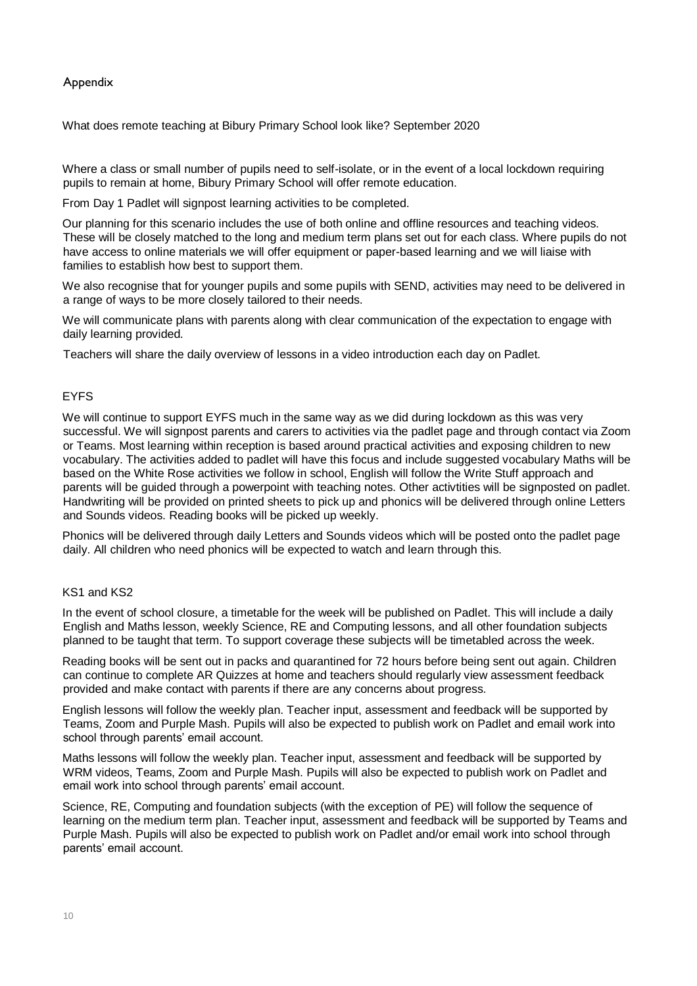### Appendix

What does remote teaching at Bibury Primary School look like? September 2020

Where a class or small number of pupils need to self-isolate, or in the event of a local lockdown requiring pupils to remain at home, Bibury Primary School will offer remote education.

From Day 1 Padlet will signpost learning activities to be completed.

Our planning for this scenario includes the use of both online and offline resources and teaching videos. These will be closely matched to the long and medium term plans set out for each class. Where pupils do not have access to online materials we will offer equipment or paper-based learning and we will liaise with families to establish how best to support them.

We also recognise that for younger pupils and some pupils with SEND, activities may need to be delivered in a range of ways to be more closely tailored to their needs.

We will communicate plans with parents along with clear communication of the expectation to engage with daily learning provided.

Teachers will share the daily overview of lessons in a video introduction each day on Padlet.

### EYFS

We will continue to support EYFS much in the same way as we did during lockdown as this was very successful. We will signpost parents and carers to activities via the padlet page and through contact via Zoom or Teams. Most learning within reception is based around practical activities and exposing children to new vocabulary. The activities added to padlet will have this focus and include suggested vocabulary Maths will be based on the White Rose activities we follow in school, English will follow the Write Stuff approach and parents will be guided through a powerpoint with teaching notes. Other activtities will be signposted on padlet. Handwriting will be provided on printed sheets to pick up and phonics will be delivered through online Letters and Sounds videos. Reading books will be picked up weekly.

Phonics will be delivered through daily Letters and Sounds videos which will be posted onto the padlet page daily. All children who need phonics will be expected to watch and learn through this.

#### KS1 and KS2

In the event of school closure, a timetable for the week will be published on Padlet. This will include a daily English and Maths lesson, weekly Science, RE and Computing lessons, and all other foundation subjects planned to be taught that term. To support coverage these subjects will be timetabled across the week.

Reading books will be sent out in packs and quarantined for 72 hours before being sent out again. Children can continue to complete AR Quizzes at home and teachers should regularly view assessment feedback provided and make contact with parents if there are any concerns about progress.

English lessons will follow the weekly plan. Teacher input, assessment and feedback will be supported by Teams, Zoom and Purple Mash. Pupils will also be expected to publish work on Padlet and email work into school through parents' email account.

Maths lessons will follow the weekly plan. Teacher input, assessment and feedback will be supported by WRM videos, Teams, Zoom and Purple Mash. Pupils will also be expected to publish work on Padlet and email work into school through parents' email account.

Science, RE, Computing and foundation subjects (with the exception of PE) will follow the sequence of learning on the medium term plan. Teacher input, assessment and feedback will be supported by Teams and Purple Mash. Pupils will also be expected to publish work on Padlet and/or email work into school through parents' email account.